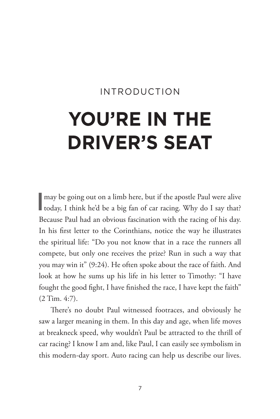## INTRODUCTION **YOU'RE IN THE DRIVER'S SEAT**

I may be going out on a limb here, but if the apostle Paul were alive today, I think he'd be a big fan of car racing. Why do I say that? Because Paul had an obvious fascination with the racing of his day. In his first letter to the Corinthians, notice the way he illustrates the spiritual life: "Do you not know that in a race the runners all compete, but only one receives the prize? Run in such a way that you may win it" (9:24). He often spoke about the race of faith. And look at how he sums up his life in his letter to Timothy: "I have fought the good fight, I have finished the race, I have kept the faith" (2 Tim. 4:7).

There's no doubt Paul witnessed footraces, and obviously he saw a larger meaning in them. In this day and age, when life moves at breakneck speed, why wouldn't Paul be attracted to the thrill of car racing? I know I am and, like Paul, I can easily see symbolism in this modern-day sport. Auto racing can help us describe our lives.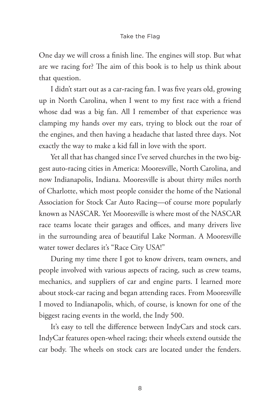## Take the Flag

One day we will cross a finish line. The engines will stop. But what are we racing for? The aim of this book is to help us think about that question.

I didn't start out as a car-racing fan. I was five years old, growing up in North Carolina, when I went to my first race with a friend whose dad was a big fan. All I remember of that experience was clamping my hands over my ears, trying to block out the roar of the engines, and then having a headache that lasted three days. Not exactly the way to make a kid fall in love with the sport.

Yet all that has changed since I've served churches in the two biggest auto-racing cities in America: Mooresville, North Carolina, and now Indianapolis, Indiana. Mooresville is about thirty miles north of Charlotte, which most people consider the home of the National Association for Stock Car Auto Racing—of course more popularly known as NASCAR. Yet Mooresville is where most of the NASCAR race teams locate their garages and offices, and many drivers live in the surrounding area of beautiful Lake Norman. A Mooresville water tower declares it's "Race City USA!"

During my time there I got to know drivers, team owners, and people involved with various aspects of racing, such as crew teams, mechanics, and suppliers of car and engine parts. I learned more about stock-car racing and began attending races. From Mooresville I moved to Indianapolis, which, of course, is known for one of the biggest racing events in the world, the Indy 500.

It's easy to tell the difference between IndyCars and stock cars. IndyCar features open-wheel racing; their wheels extend outside the car body. The wheels on stock cars are located under the fenders.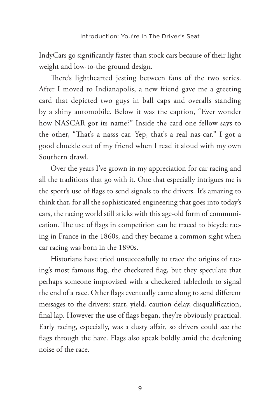IndyCars go significantly faster than stock cars because of their light weight and low-to-the-ground design.

There's lighthearted jesting between fans of the two series. After I moved to Indianapolis, a new friend gave me a greeting card that depicted two guys in ball caps and overalls standing by a shiny automobile. Below it was the caption, "Ever wonder how NASCAR got its name?" Inside the card one fellow says to the other, "That's a nasss car. Yep, that's a real nas-car." I got a good chuckle out of my friend when I read it aloud with my own Southern drawl.

Over the years I've grown in my appreciation for car racing and all the traditions that go with it. One that especially intrigues me is the sport's use of flags to send signals to the drivers. It's amazing to think that, for all the sophisticated engineering that goes into today's cars, the racing world still sticks with this age-old form of communication. The use of flags in competition can be traced to bicycle racing in France in the 1860s, and they became a common sight when car racing was born in the 1890s.

Historians have tried unsuccessfully to trace the origins of racing's most famous flag, the checkered flag, but they speculate that perhaps someone improvised with a checkered tablecloth to signal the end of a race. Other flags eventually came along to send different messages to the drivers: start, yield, caution delay, disqualification, final lap. However the use of flags began, they're obviously practical. Early racing, especially, was a dusty affair, so drivers could see the flags through the haze. Flags also speak boldly amid the deafening noise of the race.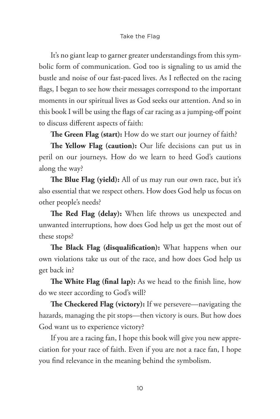It's no giant leap to garner greater understandings from this symbolic form of communication. God too is signaling to us amid the bustle and noise of our fast-paced lives. As I reflected on the racing flags, I began to see how their messages correspond to the important moments in our spiritual lives as God seeks our attention. And so in this book I will be using the flags of car racing as a jumping-off point to discuss different aspects of faith:

The Green Flag (start): How do we start our journey of faith?

The Yellow Flag (caution): Our life decisions can put us in peril on our journeys. How do we learn to heed God's cautions along the way?

The Blue Flag (yield): All of us may run our own race, but it's also essential that we respect others. How does God help us focus on other people's needs?

The Red Flag (delay): When life throws us unexpected and unwanted interruptions, how does God help us get the most out of these stops?

**The Black Flag (disqualification):** What happens when our own violations take us out of the race, and how does God help us get back in?

The White Flag (final lap): As we head to the finish line, how do we steer according to God's will?

**Te Checkered Flag (victory):** If we persevere—navigating the hazards, managing the pit stops—then victory is ours. But how does God want us to experience victory?

If you are a racing fan, I hope this book will give you new appreciation for your race of faith. Even if you are not a race fan, I hope you find relevance in the meaning behind the symbolism.